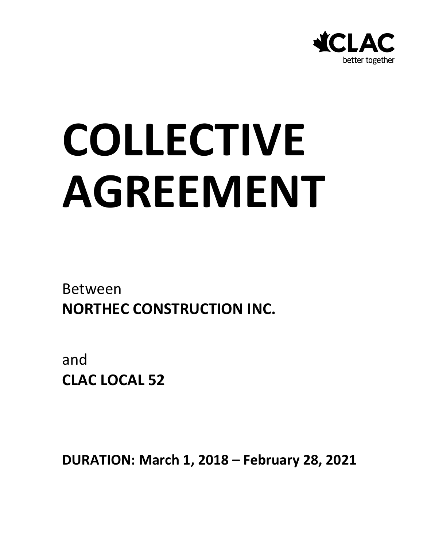

# **COLLECTIVE AGREEMENT**

Between **NORTHEC CONSTRUCTION INC.**

and **CLAC LOCAL 52**

**DURATION: March 1, 2018 – February 28, 2021**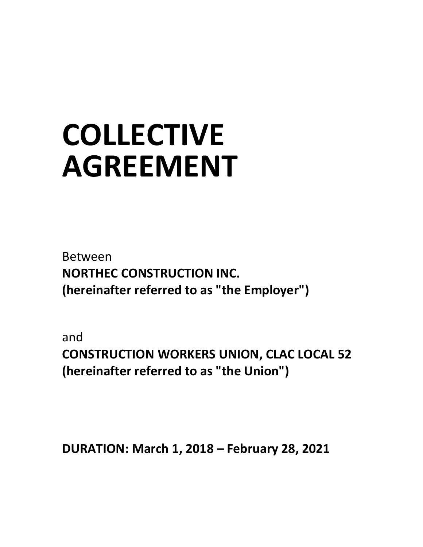# **COLLECTIVE AGREEMENT**

Between **NORTHEC CONSTRUCTION INC. (hereinafter referred to as "the Employer")**

and **CONSTRUCTION WORKERS UNION, CLAC LOCAL 52 (hereinafter referred to as "the Union")**

**DURATION: March 1, 2018 – February 28, 2021**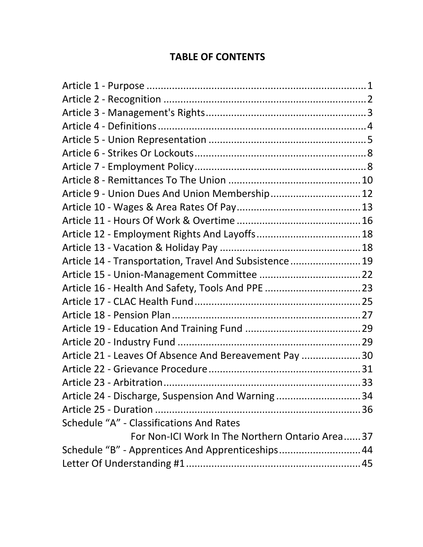#### **TABLE OF CONTENTS**

| Article 9 - Union Dues And Union Membership 12         |  |
|--------------------------------------------------------|--|
|                                                        |  |
|                                                        |  |
|                                                        |  |
|                                                        |  |
| Article 14 - Transportation, Travel And Subsistence 19 |  |
|                                                        |  |
|                                                        |  |
|                                                        |  |
|                                                        |  |
|                                                        |  |
|                                                        |  |
| Article 21 - Leaves Of Absence And Bereavement Pay  30 |  |
|                                                        |  |
|                                                        |  |
| Article 24 - Discharge, Suspension And Warning34       |  |
|                                                        |  |
| Schedule "A" - Classifications And Rates               |  |
| For Non-ICI Work In The Northern Ontario Area37        |  |
| Schedule "B" - Apprentices And Apprenticeships 44      |  |
|                                                        |  |
|                                                        |  |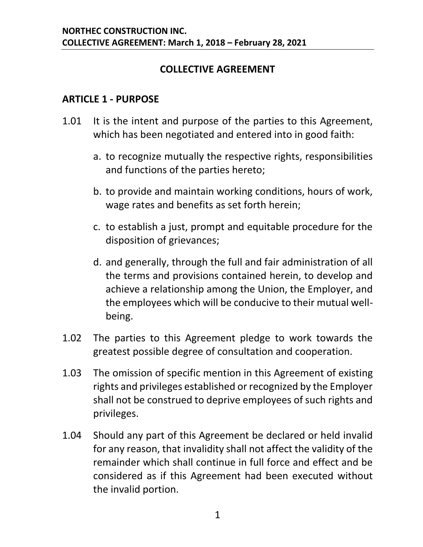#### **COLLECTIVE AGREEMENT**

#### <span id="page-3-0"></span>**ARTICLE 1 - PURPOSE**

- 1.01 It is the intent and purpose of the parties to this Agreement, which has been negotiated and entered into in good faith:
	- a. to recognize mutually the respective rights, responsibilities and functions of the parties hereto;
	- b. to provide and maintain working conditions, hours of work, wage rates and benefits as set forth herein;
	- c. to establish a just, prompt and equitable procedure for the disposition of grievances;
	- d. and generally, through the full and fair administration of all the terms and provisions contained herein, to develop and achieve a relationship among the Union, the Employer, and the employees which will be conducive to their mutual wellbeing.
- 1.02 The parties to this Agreement pledge to work towards the greatest possible degree of consultation and cooperation.
- 1.03 The omission of specific mention in this Agreement of existing rights and privileges established or recognized by the Employer shall not be construed to deprive employees of such rights and privileges.
- 1.04 Should any part of this Agreement be declared or held invalid for any reason, that invalidity shall not affect the validity of the remainder which shall continue in full force and effect and be considered as if this Agreement had been executed without the invalid portion.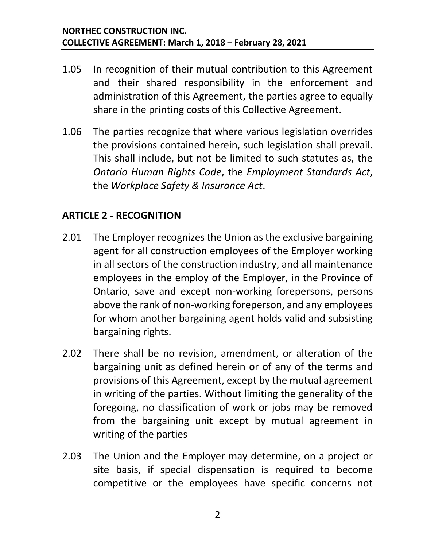- 1.05 In recognition of their mutual contribution to this Agreement and their shared responsibility in the enforcement and administration of this Agreement, the parties agree to equally share in the printing costs of this Collective Agreement.
- 1.06 The parties recognize that where various legislation overrides the provisions contained herein, such legislation shall prevail. This shall include, but not be limited to such statutes as, the *Ontario Human Rights Code*, the *Employment Standards Act*, the *Workplace Safety & Insurance Act*.

#### <span id="page-4-0"></span>**ARTICLE 2 - RECOGNITION**

- 2.01 The Employer recognizes the Union as the exclusive bargaining agent for all construction employees of the Employer working in all sectors of the construction industry, and all maintenance employees in the employ of the Employer, in the Province of Ontario, save and except non-working forepersons, persons above the rank of non-working foreperson, and any employees for whom another bargaining agent holds valid and subsisting bargaining rights.
- 2.02 There shall be no revision, amendment, or alteration of the bargaining unit as defined herein or of any of the terms and provisions of this Agreement, except by the mutual agreement in writing of the parties. Without limiting the generality of the foregoing, no classification of work or jobs may be removed from the bargaining unit except by mutual agreement in writing of the parties
- 2.03 The Union and the Employer may determine, on a project or site basis, if special dispensation is required to become competitive or the employees have specific concerns not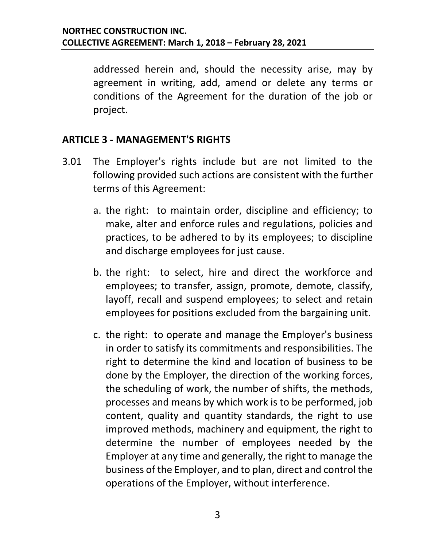addressed herein and, should the necessity arise, may by agreement in writing, add, amend or delete any terms or conditions of the Agreement for the duration of the job or project.

#### <span id="page-5-0"></span>**ARTICLE 3 - MANAGEMENT'S RIGHTS**

- 3.01 The Employer's rights include but are not limited to the following provided such actions are consistent with the further terms of this Agreement:
	- a. the right: to maintain order, discipline and efficiency; to make, alter and enforce rules and regulations, policies and practices, to be adhered to by its employees; to discipline and discharge employees for just cause.
	- b. the right: to select, hire and direct the workforce and employees; to transfer, assign, promote, demote, classify, layoff, recall and suspend employees; to select and retain employees for positions excluded from the bargaining unit.
	- c. the right: to operate and manage the Employer's business in order to satisfy its commitments and responsibilities. The right to determine the kind and location of business to be done by the Employer, the direction of the working forces, the scheduling of work, the number of shifts, the methods, processes and means by which work is to be performed, job content, quality and quantity standards, the right to use improved methods, machinery and equipment, the right to determine the number of employees needed by the Employer at any time and generally, the right to manage the business of the Employer, and to plan, direct and control the operations of the Employer, without interference.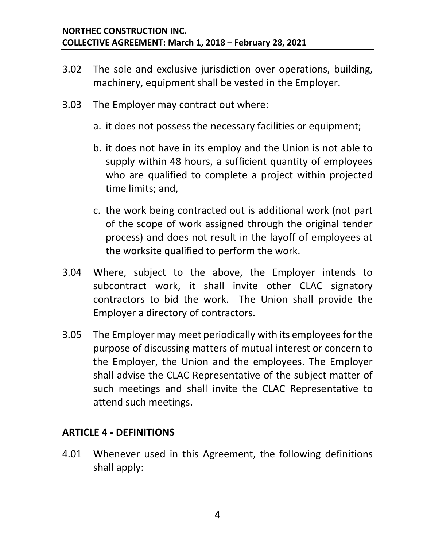- 3.02 The sole and exclusive jurisdiction over operations, building, machinery, equipment shall be vested in the Employer.
- 3.03 The Employer may contract out where:
	- a. it does not possess the necessary facilities or equipment;
	- b. it does not have in its employ and the Union is not able to supply within 48 hours, a sufficient quantity of employees who are qualified to complete a project within projected time limits; and,
	- c. the work being contracted out is additional work (not part of the scope of work assigned through the original tender process) and does not result in the layoff of employees at the worksite qualified to perform the work.
- 3.04 Where, subject to the above, the Employer intends to subcontract work, it shall invite other CLAC signatory contractors to bid the work. The Union shall provide the Employer a directory of contractors.
- 3.05 The Employer may meet periodically with its employees for the purpose of discussing matters of mutual interest or concern to the Employer, the Union and the employees. The Employer shall advise the CLAC Representative of the subject matter of such meetings and shall invite the CLAC Representative to attend such meetings.

#### <span id="page-6-0"></span>**ARTICLE 4 - DEFINITIONS**

4.01 Whenever used in this Agreement, the following definitions shall apply: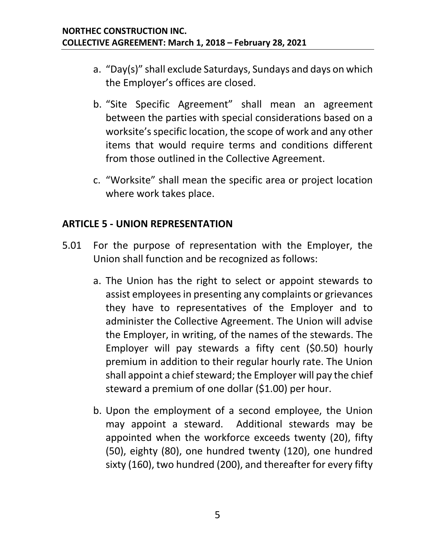- a. "Day(s)" shall exclude Saturdays, Sundays and days on which the Employer's offices are closed.
- b. "Site Specific Agreement" shall mean an agreement between the parties with special considerations based on a worksite's specific location, the scope of work and any other items that would require terms and conditions different from those outlined in the Collective Agreement.
- c. "Worksite" shall mean the specific area or project location where work takes place.

#### <span id="page-7-0"></span>**ARTICLE 5 - UNION REPRESENTATION**

- 5.01 For the purpose of representation with the Employer, the Union shall function and be recognized as follows:
	- a. The Union has the right to select or appoint stewards to assist employees in presenting any complaints or grievances they have to representatives of the Employer and to administer the Collective Agreement. The Union will advise the Employer, in writing, of the names of the stewards. The Employer will pay stewards a fifty cent (\$0.50) hourly premium in addition to their regular hourly rate. The Union shall appoint a chief steward; the Employer will pay the chief steward a premium of one dollar (\$1.00) per hour.
	- b. Upon the employment of a second employee, the Union may appoint a steward. Additional stewards may be appointed when the workforce exceeds twenty (20), fifty (50), eighty (80), one hundred twenty (120), one hundred sixty (160), two hundred (200), and thereafter for every fifty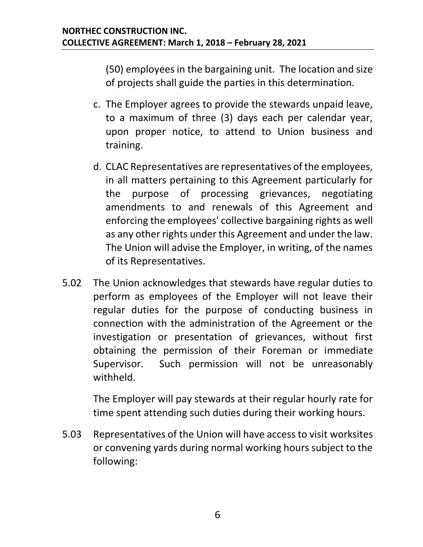(50) employees in the bargaining unit. The location and size of projects shall guide the parties in this determination.

- c. The Employer agrees to provide the stewards unpaid leave, to a maximum of three (3) days each per calendar year, upon proper notice, to attend to Union business and training.
- d. CLAC Representatives are representatives of the employees, in all matters pertaining to this Agreement particularly for the purpose of processing grievances, negotiating amendments to and renewals of this Agreement and enforcing the employees' collective bargaining rights as well as any other rights under this Agreement and under the law. The Union will advise the Employer, in writing, of the names of its Representatives.
- 5.02 The Union acknowledges that stewards have regular duties to perform as employees of the Employer will not leave their regular duties for the purpose of conducting business in connection with the administration of the Agreement or the investigation or presentation of grievances, without first obtaining the permission of their Foreman or immediate Supervisor. Such permission will not be unreasonably withheld.

The Employer will pay stewards at their regular hourly rate for time spent attending such duties during their working hours.

5.03 Representatives of the Union will have access to visit worksites or convening yards during normal working hours subject to the following: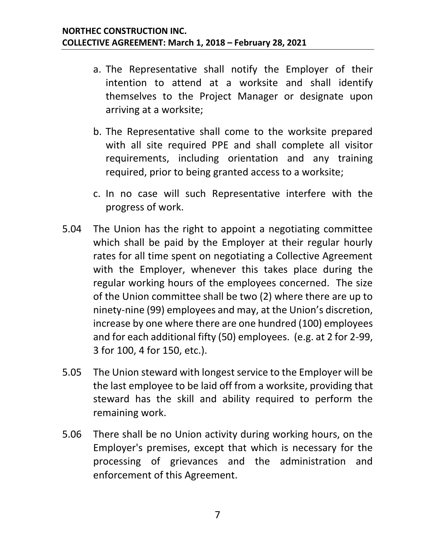- a. The Representative shall notify the Employer of their intention to attend at a worksite and shall identify themselves to the Project Manager or designate upon arriving at a worksite;
- b. The Representative shall come to the worksite prepared with all site required PPE and shall complete all visitor requirements, including orientation and any training required, prior to being granted access to a worksite;
- c. In no case will such Representative interfere with the progress of work.
- 5.04 The Union has the right to appoint a negotiating committee which shall be paid by the Employer at their regular hourly rates for all time spent on negotiating a Collective Agreement with the Employer, whenever this takes place during the regular working hours of the employees concerned. The size of the Union committee shall be two (2) where there are up to ninety-nine (99) employees and may, at the Union's discretion, increase by one where there are one hundred (100) employees and for each additional fifty (50) employees. (e.g. at 2 for 2-99, 3 for 100, 4 for 150, etc.).
- 5.05 The Union steward with longest service to the Employer will be the last employee to be laid off from a worksite, providing that steward has the skill and ability required to perform the remaining work.
- 5.06 There shall be no Union activity during working hours, on the Employer's premises, except that which is necessary for the processing of grievances and the administration and enforcement of this Agreement.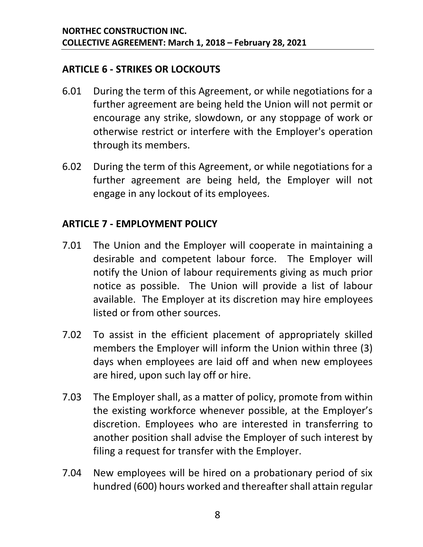#### <span id="page-10-0"></span>**ARTICLE 6 - STRIKES OR LOCKOUTS**

- 6.01 During the term of this Agreement, or while negotiations for a further agreement are being held the Union will not permit or encourage any strike, slowdown, or any stoppage of work or otherwise restrict or interfere with the Employer's operation through its members.
- 6.02 During the term of this Agreement, or while negotiations for a further agreement are being held, the Employer will not engage in any lockout of its employees.

#### <span id="page-10-1"></span>**ARTICLE 7 - EMPLOYMENT POLICY**

- 7.01 The Union and the Employer will cooperate in maintaining a desirable and competent labour force. The Employer will notify the Union of labour requirements giving as much prior notice as possible. The Union will provide a list of labour available. The Employer at its discretion may hire employees listed or from other sources.
- 7.02 To assist in the efficient placement of appropriately skilled members the Employer will inform the Union within three (3) days when employees are laid off and when new employees are hired, upon such lay off or hire.
- 7.03 The Employer shall, as a matter of policy, promote from within the existing workforce whenever possible, at the Employer's discretion. Employees who are interested in transferring to another position shall advise the Employer of such interest by filing a request for transfer with the Employer.
- 7.04 New employees will be hired on a probationary period of six hundred (600) hours worked and thereafter shall attain regular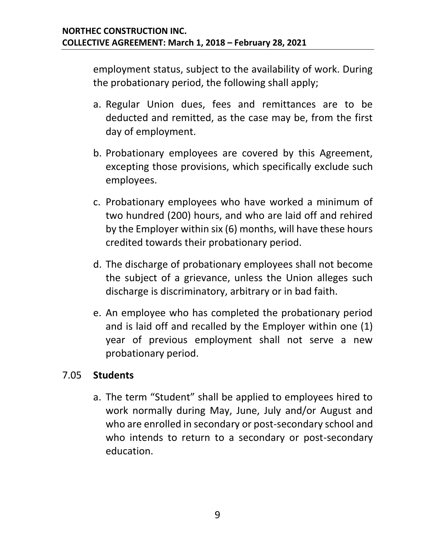employment status, subject to the availability of work. During the probationary period, the following shall apply;

- a. Regular Union dues, fees and remittances are to be deducted and remitted, as the case may be, from the first day of employment.
- b. Probationary employees are covered by this Agreement, excepting those provisions, which specifically exclude such employees.
- c. Probationary employees who have worked a minimum of two hundred (200) hours, and who are laid off and rehired by the Employer within six (6) months, will have these hours credited towards their probationary period.
- d. The discharge of probationary employees shall not become the subject of a grievance, unless the Union alleges such discharge is discriminatory, arbitrary or in bad faith.
- e. An employee who has completed the probationary period and is laid off and recalled by the Employer within one (1) year of previous employment shall not serve a new probationary period.

#### 7.05 **Students**

a. The term "Student" shall be applied to employees hired to work normally during May, June, July and/or August and who are enrolled in secondary or post-secondary school and who intends to return to a secondary or post-secondary education.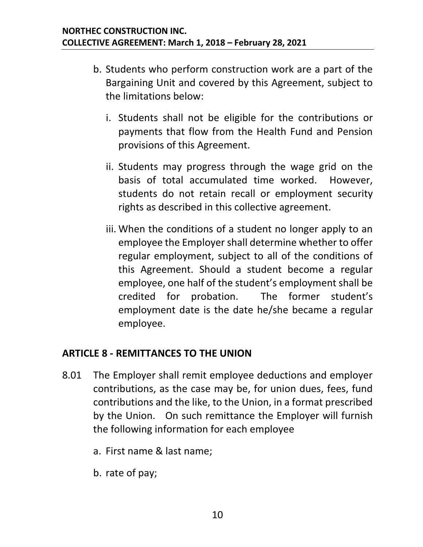- b. Students who perform construction work are a part of the Bargaining Unit and covered by this Agreement, subject to the limitations below:
	- i. Students shall not be eligible for the contributions or payments that flow from the Health Fund and Pension provisions of this Agreement.
	- ii. Students may progress through the wage grid on the basis of total accumulated time worked. However, students do not retain recall or employment security rights as described in this collective agreement.
	- iii. When the conditions of a student no longer apply to an employee the Employer shall determine whether to offer regular employment, subject to all of the conditions of this Agreement. Should a student become a regular employee, one half of the student's employment shall be credited for probation. The former student's employment date is the date he/she became a regular employee.

#### <span id="page-12-0"></span>**ARTICLE 8 - REMITTANCES TO THE UNION**

- <span id="page-12-1"></span>8.01 The Employer shall remit employee deductions and employer contributions, as the case may be, for union dues, fees, fund contributions and the like, to the Union, in a format prescribed by the Union. On such remittance the Employer will furnish the following information for each employee
	- a. First name & last name;
	- b. rate of pay;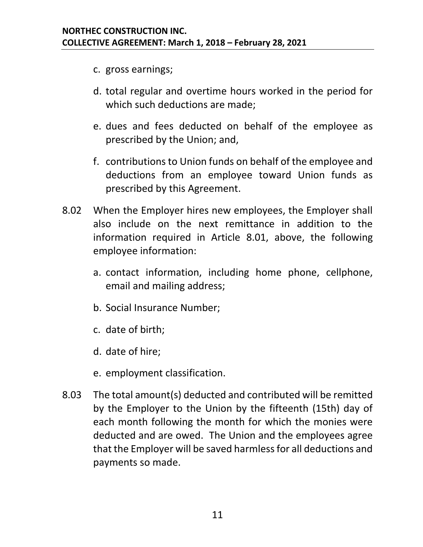- c. gross earnings;
- d. total regular and overtime hours worked in the period for which such deductions are made;
- e. dues and fees deducted on behalf of the employee as prescribed by the Union; and,
- f. contributions to Union funds on behalf of the employee and deductions from an employee toward Union funds as prescribed by this Agreement.
- 8.02 When the Employer hires new employees, the Employer shall also include on the next remittance in addition to the information required in Article [8.01,](#page-12-1) above, the following employee information:
	- a. contact information, including home phone, cellphone, email and mailing address;
	- b. Social Insurance Number;
	- c. date of birth;
	- d. date of hire;
	- e. employment classification.
- 8.03 The total amount(s) deducted and contributed will be remitted by the Employer to the Union by the fifteenth (15th) day of each month following the month for which the monies were deducted and are owed. The Union and the employees agree that the Employer will be saved harmless for all deductions and payments so made.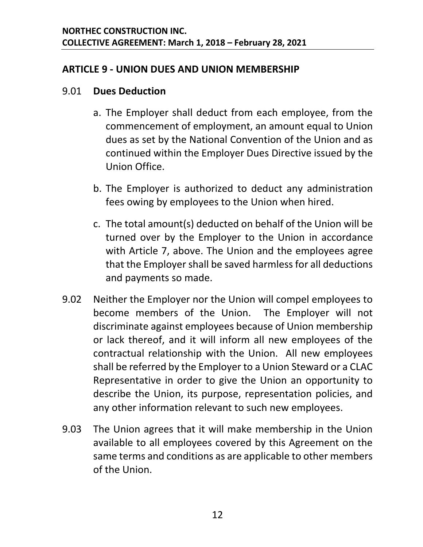#### <span id="page-14-0"></span>**ARTICLE 9 - UNION DUES AND UNION MEMBERSHIP**

#### 9.01 **Dues Deduction**

- a. The Employer shall deduct from each employee, from the commencement of employment, an amount equal to Union dues as set by the National Convention of the Union and as continued within the Employer Dues Directive issued by the Union Office.
- b. The Employer is authorized to deduct any administration fees owing by employees to the Union when hired.
- c. The total amount(s) deducted on behalf of the Union will be turned over by the Employer to the Union in accordance with Article 7, above. The Union and the employees agree that the Employer shall be saved harmless for all deductions and payments so made.
- 9.02 Neither the Employer nor the Union will compel employees to become members of the Union. The Employer will not discriminate against employees because of Union membership or lack thereof, and it will inform all new employees of the contractual relationship with the Union. All new employees shall be referred by the Employer to a Union Steward or a CLAC Representative in order to give the Union an opportunity to describe the Union, its purpose, representation policies, and any other information relevant to such new employees.
- 9.03 The Union agrees that it will make membership in the Union available to all employees covered by this Agreement on the same terms and conditions as are applicable to other members of the Union.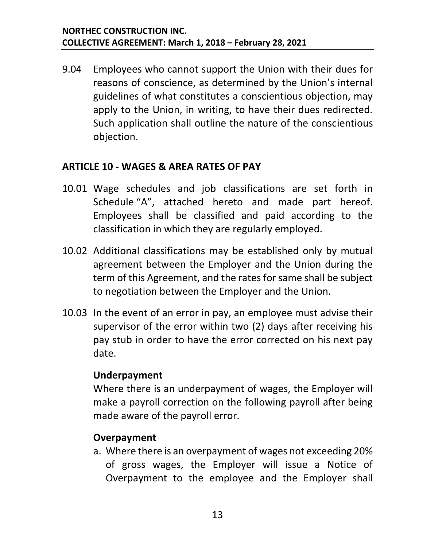9.04 Employees who cannot support the Union with their dues for reasons of conscience, as determined by the Union's internal guidelines of what constitutes a conscientious objection, may apply to the Union, in writing, to have their dues redirected. Such application shall outline the nature of the conscientious objection.

#### <span id="page-15-0"></span>**ARTICLE 10 - WAGES & AREA RATES OF PAY**

- 10.01 Wage schedules and job classifications are set forth in Schedule "A", attached hereto and made part hereof. Employees shall be classified and paid according to the classification in which they are regularly employed.
- 10.02 Additional classifications may be established only by mutual agreement between the Employer and the Union during the term of this Agreement, and the rates for same shall be subject to negotiation between the Employer and the Union.
- 10.03 In the event of an error in pay, an employee must advise their supervisor of the error within two (2) days after receiving his pay stub in order to have the error corrected on his next pay date.

#### **Underpayment**

Where there is an underpayment of wages, the Employer will make a payroll correction on the following payroll after being made aware of the payroll error.

#### **Overpayment**

a. Where there is an overpayment of wages not exceeding 20% of gross wages, the Employer will issue a Notice of Overpayment to the employee and the Employer shall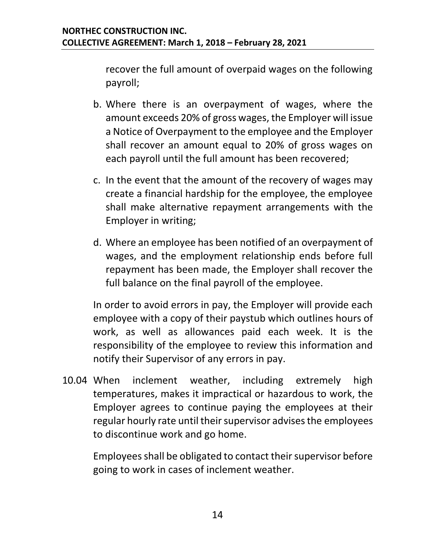recover the full amount of overpaid wages on the following payroll;

- b. Where there is an overpayment of wages, where the amount exceeds 20% of gross wages, the Employer will issue a Notice of Overpayment to the employee and the Employer shall recover an amount equal to 20% of gross wages on each payroll until the full amount has been recovered;
- c. In the event that the amount of the recovery of wages may create a financial hardship for the employee, the employee shall make alternative repayment arrangements with the Employer in writing;
- d. Where an employee has been notified of an overpayment of wages, and the employment relationship ends before full repayment has been made, the Employer shall recover the full balance on the final payroll of the employee.

In order to avoid errors in pay, the Employer will provide each employee with a copy of their paystub which outlines hours of work, as well as allowances paid each week. It is the responsibility of the employee to review this information and notify their Supervisor of any errors in pay.

10.04 When inclement weather, including extremely high temperatures, makes it impractical or hazardous to work, the Employer agrees to continue paying the employees at their regular hourly rate until their supervisor advises the employees to discontinue work and go home.

Employees shall be obligated to contact their supervisor before going to work in cases of inclement weather.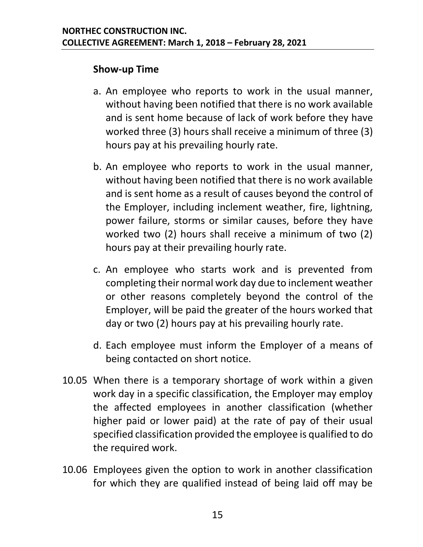#### **Show-up Time**

- a. An employee who reports to work in the usual manner, without having been notified that there is no work available and is sent home because of lack of work before they have worked three (3) hours shall receive a minimum of three (3) hours pay at his prevailing hourly rate.
- b. An employee who reports to work in the usual manner, without having been notified that there is no work available and is sent home as a result of causes beyond the control of the Employer, including inclement weather, fire, lightning, power failure, storms or similar causes, before they have worked two (2) hours shall receive a minimum of two (2) hours pay at their prevailing hourly rate.
- c. An employee who starts work and is prevented from completing their normal work day due to inclement weather or other reasons completely beyond the control of the Employer, will be paid the greater of the hours worked that day or two (2) hours pay at his prevailing hourly rate.
- d. Each employee must inform the Employer of a means of being contacted on short notice.
- 10.05 When there is a temporary shortage of work within a given work day in a specific classification, the Employer may employ the affected employees in another classification (whether higher paid or lower paid) at the rate of pay of their usual specified classification provided the employee is qualified to do the required work.
- 10.06 Employees given the option to work in another classification for which they are qualified instead of being laid off may be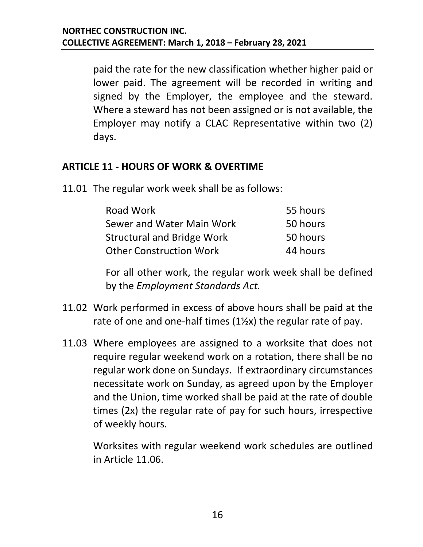paid the rate for the new classification whether higher paid or lower paid. The agreement will be recorded in writing and signed by the Employer, the employee and the steward. Where a steward has not been assigned or is not available, the Employer may notify a CLAC Representative within two (2) days.

#### <span id="page-18-0"></span>**ARTICLE 11 - HOURS OF WORK & OVERTIME**

<span id="page-18-1"></span>11.01 The regular work week shall be as follows:

| Road Work                         | 55 hours |
|-----------------------------------|----------|
| Sewer and Water Main Work         | 50 hours |
| <b>Structural and Bridge Work</b> | 50 hours |
| <b>Other Construction Work</b>    | 44 hours |

For all other work, the regular work week shall be defined by the *Employment Standards Act.*

- 11.02 Work performed in excess of above hours shall be paid at the rate of one and one-half times  $(1\frac{1}{2}x)$  the regular rate of pay.
- 11.03 Where employees are assigned to a worksite that does not require regular weekend work on a rotation, there shall be no regular work done on Sunday*s*. If extraordinary circumstances necessitate work on Sunday, as agreed upon by the Employer and the Union, time worked shall be paid at the rate of double times (2x) the regular rate of pay for such hours, irrespective of weekly hours.

Worksites with regular weekend work schedules are outlined in Article [11.06.](#page-19-0)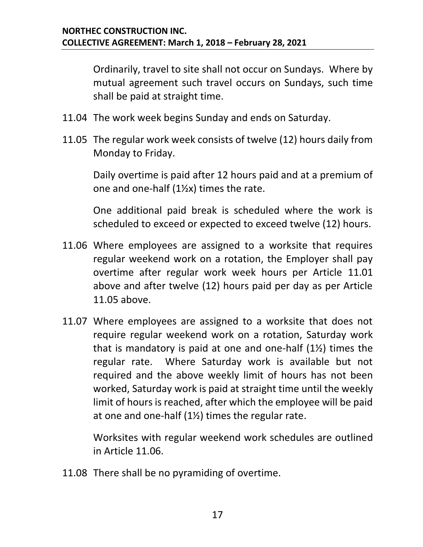Ordinarily, travel to site shall not occur on Sundays. Where by mutual agreement such travel occurs on Sundays, such time shall be paid at straight time.

- 11.04 The work week begins Sunday and ends on Saturday.
- <span id="page-19-1"></span>11.05 The regular work week consists of twelve (12) hours daily from Monday to Friday.

Daily overtime is paid after 12 hours paid and at a premium of one and one-half  $(1\frac{1}{2}x)$  times the rate.

One additional paid break is scheduled where the work is scheduled to exceed or expected to exceed twelve (12) hours.

- <span id="page-19-0"></span>11.06 Where employees are assigned to a worksite that requires regular weekend work on a rotation, the Employer shall pay overtime after regular work week hours per Article [11.01](#page-18-1) above and after twelve (12) hours paid per day as per Article [11.05](#page-19-1) above.
- 11.07 Where employees are assigned to a worksite that does not require regular weekend work on a rotation, Saturday work that is mandatory is paid at one and one-half (1½) times the regular rate. Where Saturday work is available but not required and the above weekly limit of hours has not been worked, Saturday work is paid at straight time until the weekly limit of hours is reached, after which the employee will be paid at one and one-half (1½) times the regular rate.

Worksites with regular weekend work schedules are outlined in Article [11.06.](#page-19-0)

11.08 There shall be no pyramiding of overtime.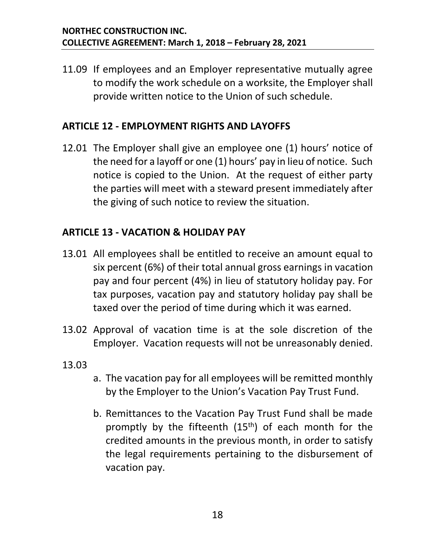11.09 If employees and an Employer representative mutually agree to modify the work schedule on a worksite, the Employer shall provide written notice to the Union of such schedule.

#### <span id="page-20-0"></span>**ARTICLE 12 - EMPLOYMENT RIGHTS AND LAYOFFS**

12.01 The Employer shall give an employee one (1) hours' notice of the need for a layoff or one (1) hours' pay in lieu of notice. Such notice is copied to the Union. At the request of either party the parties will meet with a steward present immediately after the giving of such notice to review the situation.

#### <span id="page-20-1"></span>**ARTICLE 13 - VACATION & HOLIDAY PAY**

- 13.01 All employees shall be entitled to receive an amount equal to six percent (6%) of their total annual gross earnings in vacation pay and four percent (4%) in lieu of statutory holiday pay. For tax purposes, vacation pay and statutory holiday pay shall be taxed over the period of time during which it was earned.
- 13.02 Approval of vacation time is at the sole discretion of the Employer. Vacation requests will not be unreasonably denied.
- 13.03
- a. The vacation pay for all employees will be remitted monthly by the Employer to the Union's Vacation Pay Trust Fund.
- b. Remittances to the Vacation Pay Trust Fund shall be made promptly by the fifteenth  $(15<sup>th</sup>)$  of each month for the credited amounts in the previous month, in order to satisfy the legal requirements pertaining to the disbursement of vacation pay.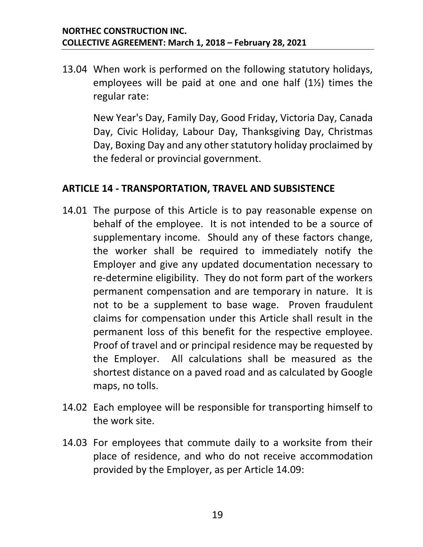13.04 When work is performed on the following statutory holidays, employees will be paid at one and one half (1½) times the regular rate:

New Year's Day, Family Day, Good Friday, Victoria Day, Canada Day, Civic Holiday, Labour Day, Thanksgiving Day, Christmas Day, Boxing Day and any other statutory holiday proclaimed by the federal or provincial government.

#### <span id="page-21-0"></span>**ARTICLE 14 - TRANSPORTATION, TRAVEL AND SUBSISTENCE**

- <span id="page-21-1"></span>14.01 The purpose of this Article is to pay reasonable expense on behalf of the employee. It is not intended to be a source of supplementary income. Should any of these factors change, the worker shall be required to immediately notify the Employer and give any updated documentation necessary to re-determine eligibility. They do not form part of the workers permanent compensation and are temporary in nature. It is not to be a supplement to base wage. Proven fraudulent claims for compensation under this Article shall result in the permanent loss of this benefit for the respective employee. Proof of travel and or principal residence may be requested by the Employer. All calculations shall be measured as the shortest distance on a paved road and as calculated by Google maps, no tolls.
- 14.02 Each employee will be responsible for transporting himself to the work site.
- 14.03 For employees that commute daily to a worksite from their place of residence, and who do not receive accommodation provided by the Employer, as per Article [14.09:](#page-23-0)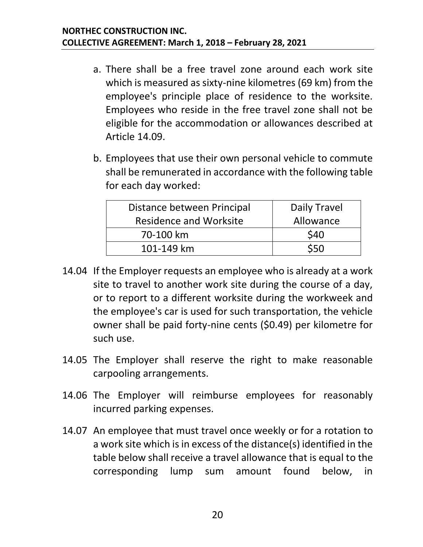- a. There shall be a free travel zone around each work site which is measured as sixty-nine kilometres (69 km) from the employee's principle place of residence to the worksite. Employees who reside in the free travel zone shall not be eligible for the accommodation or allowances described at Article [14.09.](#page-23-0)
- b. Employees that use their own personal vehicle to commute shall be remunerated in accordance with the following table for each day worked:

| Distance between Principal    | Daily Travel |
|-------------------------------|--------------|
| <b>Residence and Worksite</b> | Allowance    |
| 70-100 km                     | \$40         |
| 101-149 km                    | \$50         |
|                               |              |

- 14.04 If the Employer requests an employee who is already at a work site to travel to another work site during the course of a day, or to report to a different worksite during the workweek and the employee's car is used for such transportation, the vehicle owner shall be paid forty-nine cents (\$0.49) per kilometre for such use.
- 14.05 The Employer shall reserve the right to make reasonable carpooling arrangements.
- 14.06 The Employer will reimburse employees for reasonably incurred parking expenses.
- 14.07 An employee that must travel once weekly or for a rotation to a work site which is in excess of the distance(s) identified in the table below shall receive a travel allowance that is equal to the corresponding lump sum amount found below, in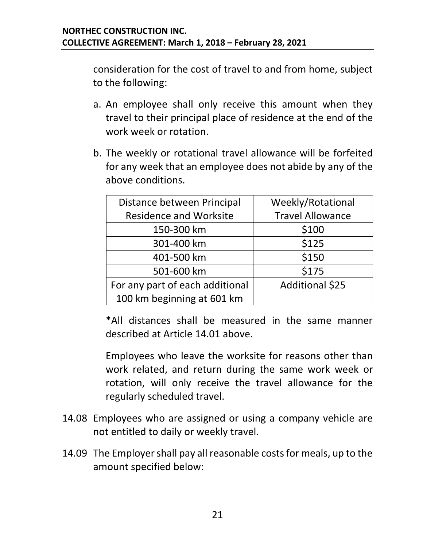consideration for the cost of travel to and from home, subject to the following:

- a. An employee shall only receive this amount when they travel to their principal place of residence at the end of the work week or rotation.
- b. The weekly or rotational travel allowance will be forfeited for any week that an employee does not abide by any of the above conditions.

| Distance between Principal      | Weekly/Rotational       |
|---------------------------------|-------------------------|
| <b>Residence and Worksite</b>   | <b>Travel Allowance</b> |
| 150-300 km                      | \$100                   |
| 301-400 km                      | \$125                   |
| 401-500 km                      | \$150                   |
| 501-600 km                      | \$175                   |
| For any part of each additional | Additional \$25         |
| 100 km beginning at 601 km      |                         |

\*All distances shall be measured in the same manner described at Article [14.01](#page-21-1) above.

Employees who leave the worksite for reasons other than work related, and return during the same work week or rotation, will only receive the travel allowance for the regularly scheduled travel.

- 14.08 Employees who are assigned or using a company vehicle are not entitled to daily or weekly travel.
- <span id="page-23-0"></span>14.09 The Employer shall pay all reasonable costs for meals, up to the amount specified below: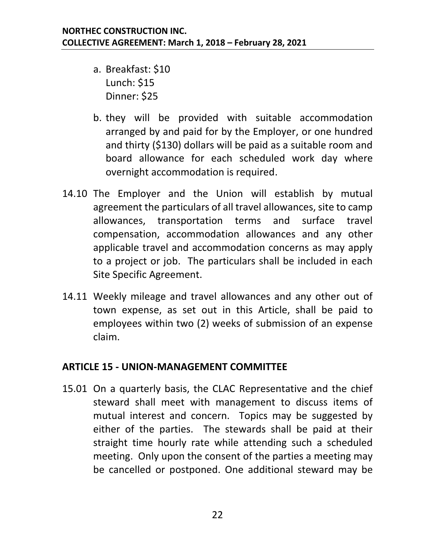- a. Breakfast: \$10 Lunch: \$15 Dinner: \$25
- b. they will be provided with suitable accommodation arranged by and paid for by the Employer, or one hundred and thirty (\$130) dollars will be paid as a suitable room and board allowance for each scheduled work day where overnight accommodation is required.
- 14.10 The Employer and the Union will establish by mutual agreement the particulars of all travel allowances, site to camp allowances, transportation terms and surface travel compensation, accommodation allowances and any other applicable travel and accommodation concerns as may apply to a project or job. The particulars shall be included in each Site Specific Agreement.
- 14.11 Weekly mileage and travel allowances and any other out of town expense, as set out in this Article, shall be paid to employees within two (2) weeks of submission of an expense claim.

#### <span id="page-24-0"></span>**ARTICLE 15 - UNION-MANAGEMENT COMMITTEE**

15.01 On a quarterly basis, the CLAC Representative and the chief steward shall meet with management to discuss items of mutual interest and concern. Topics may be suggested by either of the parties. The stewards shall be paid at their straight time hourly rate while attending such a scheduled meeting. Only upon the consent of the parties a meeting may be cancelled or postponed. One additional steward may be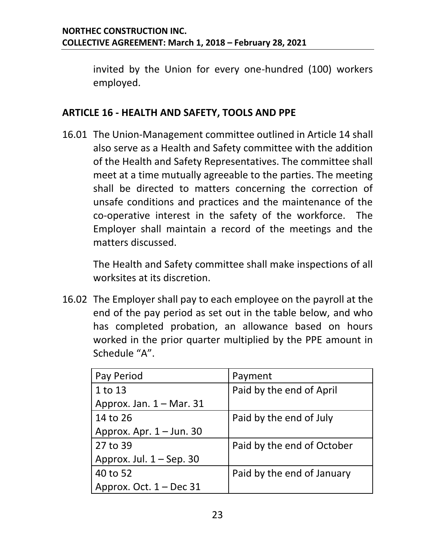invited by the Union for every one-hundred (100) workers employed.

#### <span id="page-25-0"></span>**ARTICLE 16 - HEALTH AND SAFETY, TOOLS AND PPE**

16.01 The Union-Management committee outlined in Article 14 shall also serve as a Health and Safety committee with the addition of the Health and Safety Representatives. The committee shall meet at a time mutually agreeable to the parties. The meeting shall be directed to matters concerning the correction of unsafe conditions and practices and the maintenance of the co-operative interest in the safety of the workforce. The Employer shall maintain a record of the meetings and the matters discussed.

The Health and Safety committee shall make inspections of all worksites at its discretion.

16.02 The Employer shall pay to each employee on the payroll at the end of the pay period as set out in the table below, and who has completed probation, an allowance based on hours worked in the prior quarter multiplied by the PPE amount in Schedule "A".

| Pay Period                 | Payment                    |
|----------------------------|----------------------------|
| 1 to 13                    | Paid by the end of April   |
| Approx. Jan. $1 -$ Mar. 31 |                            |
| 14 to 26                   | Paid by the end of July    |
| Approx. Apr. 1 - Jun. 30   |                            |
| 27 to 39                   | Paid by the end of October |
| Approx. Jul. $1 -$ Sep. 30 |                            |
| 40 to 52                   | Paid by the end of January |
| Approx. Oct. $1 - Dec 31$  |                            |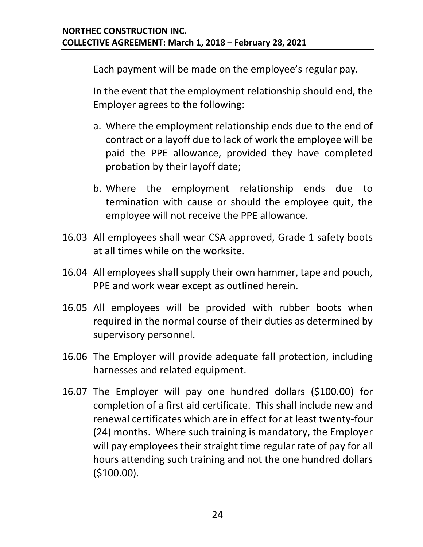Each payment will be made on the employee's regular pay.

In the event that the employment relationship should end, the Employer agrees to the following:

- a. Where the employment relationship ends due to the end of contract or a layoff due to lack of work the employee will be paid the PPE allowance, provided they have completed probation by their layoff date;
- b. Where the employment relationship ends due to termination with cause or should the employee quit, the employee will not receive the PPE allowance.
- 16.03 All employees shall wear CSA approved, Grade 1 safety boots at all times while on the worksite.
- 16.04 All employees shall supply their own hammer, tape and pouch, PPE and work wear except as outlined herein.
- 16.05 All employees will be provided with rubber boots when required in the normal course of their duties as determined by supervisory personnel.
- 16.06 The Employer will provide adequate fall protection, including harnesses and related equipment.
- 16.07 The Employer will pay one hundred dollars (\$100.00) for completion of a first aid certificate. This shall include new and renewal certificates which are in effect for at least twenty-four (24) months. Where such training is mandatory, the Employer will pay employees their straight time regular rate of pay for all hours attending such training and not the one hundred dollars (\$100.00).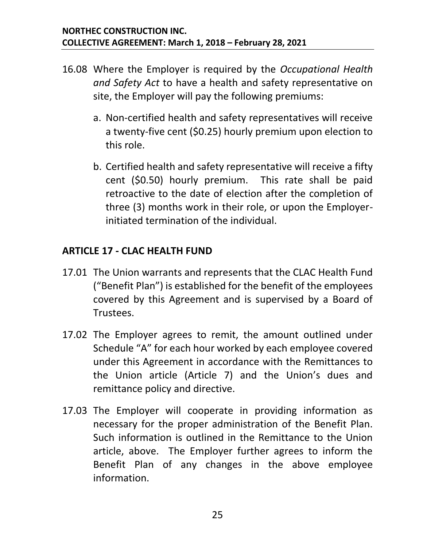- 16.08 Where the Employer is required by the *Occupational Health and Safety Act* to have a health and safety representative on site, the Employer will pay the following premiums:
	- a. Non-certified health and safety representatives will receive a twenty-five cent (\$0.25) hourly premium upon election to this role.
	- b. Certified health and safety representative will receive a fifty cent (\$0.50) hourly premium. This rate shall be paid retroactive to the date of election after the completion of three (3) months work in their role, or upon the Employerinitiated termination of the individual.

#### <span id="page-27-0"></span>**ARTICLE 17 - CLAC HEALTH FUND**

- 17.01 The Union warrants and represents that the CLAC Health Fund ("Benefit Plan") is established for the benefit of the employees covered by this Agreement and is supervised by a Board of Trustees.
- 17.02 The Employer agrees to remit, the amount outlined under Schedule "A" for each hour worked by each employee covered under this Agreement in accordance with the Remittances to the Union article (Article 7) and the Union's dues and remittance policy and directive.
- 17.03 The Employer will cooperate in providing information as necessary for the proper administration of the Benefit Plan. Such information is outlined in the Remittance to the Union article, above. The Employer further agrees to inform the Benefit Plan of any changes in the above employee information.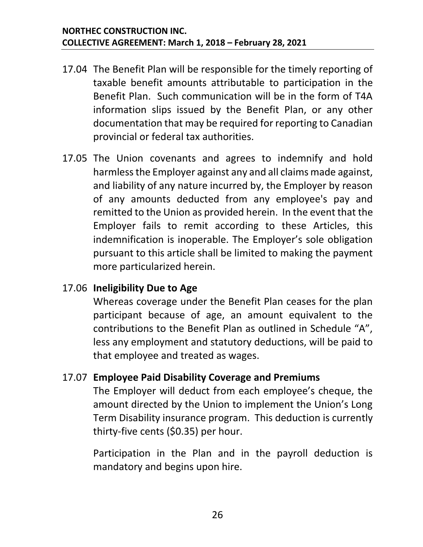- 17.04 The Benefit Plan will be responsible for the timely reporting of taxable benefit amounts attributable to participation in the Benefit Plan. Such communication will be in the form of T4A information slips issued by the Benefit Plan, or any other documentation that may be required for reporting to Canadian provincial or federal tax authorities.
- 17.05 The Union covenants and agrees to indemnify and hold harmless the Employer against any and all claims made against, and liability of any nature incurred by, the Employer by reason of any amounts deducted from any employee's pay and remitted to the Union as provided herein. In the event that the Employer fails to remit according to these Articles, this indemnification is inoperable. The Employer's sole obligation pursuant to this article shall be limited to making the payment more particularized herein.

#### 17.06 **Ineligibility Due to Age**

Whereas coverage under the Benefit Plan ceases for the plan participant because of age, an amount equivalent to the contributions to the Benefit Plan as outlined in Schedule "A", less any employment and statutory deductions, will be paid to that employee and treated as wages.

#### 17.07 **Employee Paid Disability Coverage and Premiums**

The Employer will deduct from each employee's cheque, the amount directed by the Union to implement the Union's Long Term Disability insurance program. This deduction is currently thirty-five cents (\$0.35) per hour.

Participation in the Plan and in the payroll deduction is mandatory and begins upon hire.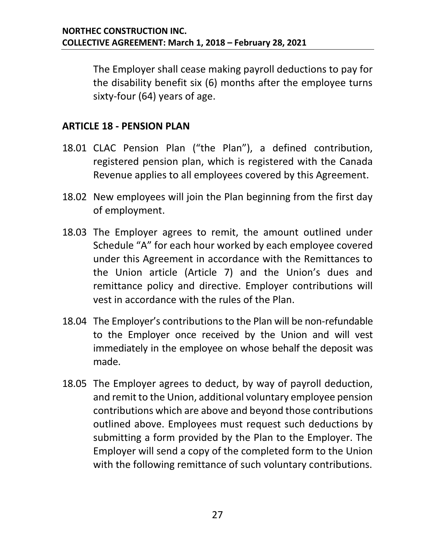The Employer shall cease making payroll deductions to pay for the disability benefit six (6) months after the employee turns sixty-four (64) years of age.

#### <span id="page-29-0"></span>**ARTICLE 18 - PENSION PLAN**

- 18.01 CLAC Pension Plan ("the Plan"), a defined contribution, registered pension plan, which is registered with the Canada Revenue applies to all employees covered by this Agreement.
- 18.02 New employees will join the Plan beginning from the first day of employment.
- 18.03 The Employer agrees to remit, the amount outlined under Schedule "A" for each hour worked by each employee covered under this Agreement in accordance with the Remittances to the Union article (Article 7) and the Union's dues and remittance policy and directive. Employer contributions will vest in accordance with the rules of the Plan.
- 18.04 The Employer's contributions to the Plan will be non-refundable to the Employer once received by the Union and will vest immediately in the employee on whose behalf the deposit was made.
- 18.05 The Employer agrees to deduct, by way of payroll deduction, and remit to the Union, additional voluntary employee pension contributions which are above and beyond those contributions outlined above. Employees must request such deductions by submitting a form provided by the Plan to the Employer. The Employer will send a copy of the completed form to the Union with the following remittance of such voluntary contributions.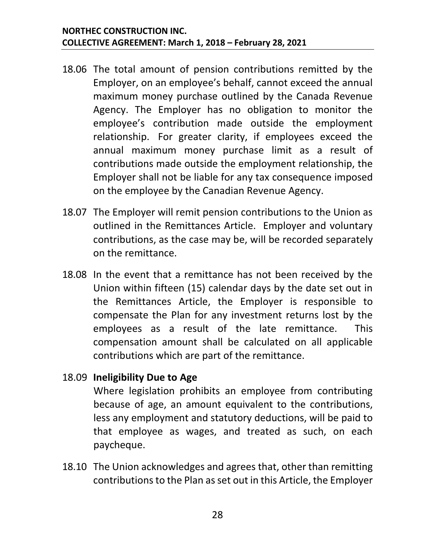- 18.06 The total amount of pension contributions remitted by the Employer, on an employee's behalf, cannot exceed the annual maximum money purchase outlined by the Canada Revenue Agency. The Employer has no obligation to monitor the employee's contribution made outside the employment relationship. For greater clarity, if employees exceed the annual maximum money purchase limit as a result of contributions made outside the employment relationship, the Employer shall not be liable for any tax consequence imposed on the employee by the Canadian Revenue Agency.
- 18.07 The Employer will remit pension contributions to the Union as outlined in the Remittances Article. Employer and voluntary contributions, as the case may be, will be recorded separately on the remittance.
- 18.08 In the event that a remittance has not been received by the Union within fifteen (15) calendar days by the date set out in the Remittances Article, the Employer is responsible to compensate the Plan for any investment returns lost by the employees as a result of the late remittance. This compensation amount shall be calculated on all applicable contributions which are part of the remittance.

#### 18.09 **Ineligibility Due to Age**

Where legislation prohibits an employee from contributing because of age, an amount equivalent to the contributions, less any employment and statutory deductions, will be paid to that employee as wages, and treated as such, on each paycheque.

18.10 The Union acknowledges and agrees that, other than remitting contributions to the Plan as set out in this Article, the Employer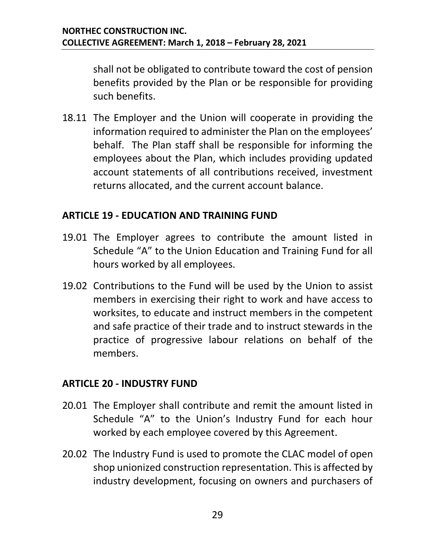shall not be obligated to contribute toward the cost of pension benefits provided by the Plan or be responsible for providing such benefits.

18.11 The Employer and the Union will cooperate in providing the information required to administer the Plan on the employees' behalf. The Plan staff shall be responsible for informing the employees about the Plan, which includes providing updated account statements of all contributions received, investment returns allocated, and the current account balance.

#### <span id="page-31-0"></span>**ARTICLE 19 - EDUCATION AND TRAINING FUND**

- 19.01 The Employer agrees to contribute the amount listed in Schedule "A" to the Union Education and Training Fund for all hours worked by all employees.
- 19.02 Contributions to the Fund will be used by the Union to assist members in exercising their right to work and have access to worksites, to educate and instruct members in the competent and safe practice of their trade and to instruct stewards in the practice of progressive labour relations on behalf of the members.

#### <span id="page-31-1"></span>**ARTICLE 20 - INDUSTRY FUND**

- 20.01 The Employer shall contribute and remit the amount listed in Schedule "A" to the Union's Industry Fund for each hour worked by each employee covered by this Agreement.
- 20.02 The Industry Fund is used to promote the CLAC model of open shop unionized construction representation. This is affected by industry development, focusing on owners and purchasers of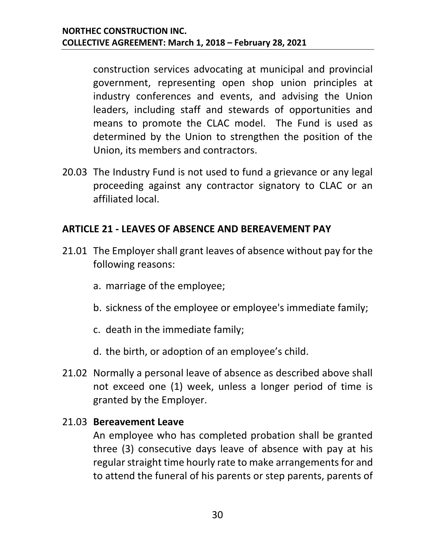construction services advocating at municipal and provincial government, representing open shop union principles at industry conferences and events, and advising the Union leaders, including staff and stewards of opportunities and means to promote the CLAC model. The Fund is used as determined by the Union to strengthen the position of the Union, its members and contractors.

20.03 The Industry Fund is not used to fund a grievance or any legal proceeding against any contractor signatory to CLAC or an affiliated local.

#### <span id="page-32-0"></span>**ARTICLE 21 - LEAVES OF ABSENCE AND BEREAVEMENT PAY**

- 21.01 The Employer shall grant leaves of absence without pay for the following reasons:
	- a. marriage of the employee;
	- b. sickness of the employee or employee's immediate family;
	- c. death in the immediate family;
	- d. the birth, or adoption of an employee's child.
- 21.02 Normally a personal leave of absence as described above shall not exceed one (1) week, unless a longer period of time is granted by the Employer.

#### 21.03 **Bereavement Leave**

An employee who has completed probation shall be granted three (3) consecutive days leave of absence with pay at his regular straight time hourly rate to make arrangements for and to attend the funeral of his parents or step parents, parents of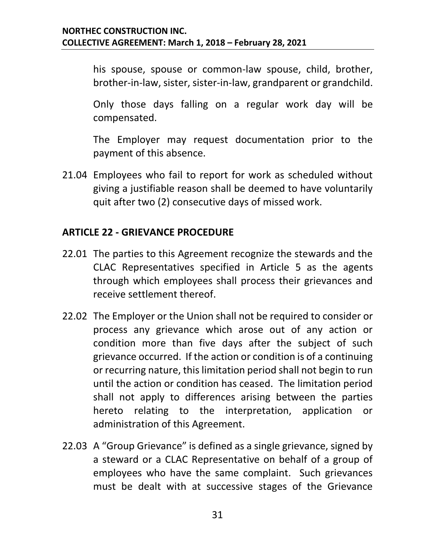his spouse, spouse or common-law spouse, child, brother, brother-in-law, sister, sister-in-law, grandparent or grandchild.

Only those days falling on a regular work day will be compensated.

The Employer may request documentation prior to the payment of this absence.

21.04 Employees who fail to report for work as scheduled without giving a justifiable reason shall be deemed to have voluntarily quit after two (2) consecutive days of missed work.

#### <span id="page-33-0"></span>**ARTICLE 22 - GRIEVANCE PROCEDURE**

- 22.01 The parties to this Agreement recognize the stewards and the CLAC Representatives specified in Article 5 as the agents through which employees shall process their grievances and receive settlement thereof.
- 22.02 The Employer or the Union shall not be required to consider or process any grievance which arose out of any action or condition more than five days after the subject of such grievance occurred. If the action or condition is of a continuing or recurring nature, this limitation period shall not begin to run until the action or condition has ceased. The limitation period shall not apply to differences arising between the parties hereto relating to the interpretation, application or administration of this Agreement.
- 22.03 A "Group Grievance" is defined as a single grievance, signed by a steward or a CLAC Representative on behalf of a group of employees who have the same complaint. Such grievances must be dealt with at successive stages of the Grievance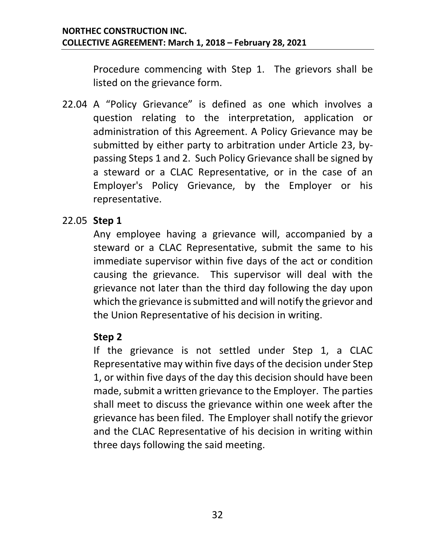Procedure commencing with Step 1. The grievors shall be listed on the grievance form.

22.04 A "Policy Grievance" is defined as one which involves a question relating to the interpretation, application or administration of this Agreement. A Policy Grievance may be submitted by either party to arbitration under Article 23, bypassing Steps 1 and 2. Such Policy Grievance shall be signed by a steward or a CLAC Representative, or in the case of an Employer's Policy Grievance, by the Employer or his representative.

#### 22.05 **Step 1**

Any employee having a grievance will, accompanied by a steward or a CLAC Representative, submit the same to his immediate supervisor within five days of the act or condition causing the grievance. This supervisor will deal with the grievance not later than the third day following the day upon which the grievance is submitted and will notify the grievor and the Union Representative of his decision in writing.

#### **Step 2**

If the grievance is not settled under Step 1, a CLAC Representative may within five days of the decision under Step 1, or within five days of the day this decision should have been made, submit a written grievance to the Employer. The parties shall meet to discuss the grievance within one week after the grievance has been filed. The Employer shall notify the grievor and the CLAC Representative of his decision in writing within three days following the said meeting.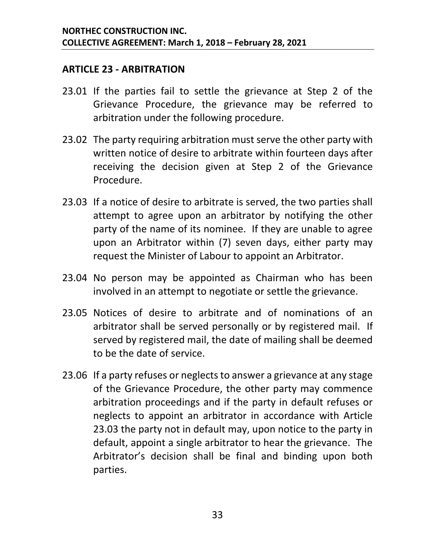#### <span id="page-35-0"></span>**ARTICLE 23 - ARBITRATION**

- 23.01 If the parties fail to settle the grievance at Step 2 of the Grievance Procedure, the grievance may be referred to arbitration under the following procedure.
- 23.02 The party requiring arbitration must serve the other party with written notice of desire to arbitrate within fourteen days after receiving the decision given at Step 2 of the Grievance Procedure.
- <span id="page-35-1"></span>23.03 If a notice of desire to arbitrate is served, the two parties shall attempt to agree upon an arbitrator by notifying the other party of the name of its nominee. If they are unable to agree upon an Arbitrator within (7) seven days, either party may request the Minister of Labour to appoint an Arbitrator.
- 23.04 No person may be appointed as Chairman who has been involved in an attempt to negotiate or settle the grievance.
- 23.05 Notices of desire to arbitrate and of nominations of an arbitrator shall be served personally or by registered mail. If served by registered mail, the date of mailing shall be deemed to be the date of service.
- 23.06 If a party refuses or neglects to answer a grievance at any stage of the Grievance Procedure, the other party may commence arbitration proceedings and if the party in default refuses or neglects to appoint an arbitrator in accordance with Article [23.03](#page-35-1) the party not in default may, upon notice to the party in default, appoint a single arbitrator to hear the grievance. The Arbitrator's decision shall be final and binding upon both parties.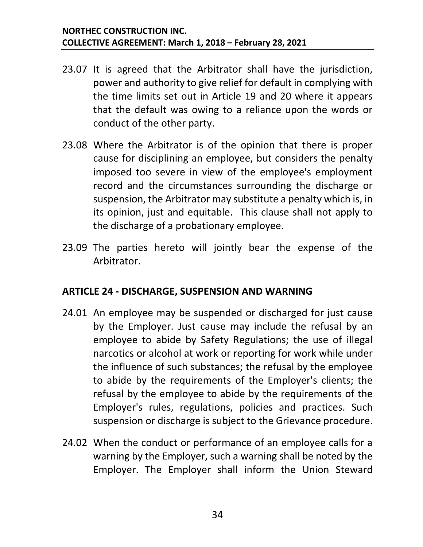- 23.07 It is agreed that the Arbitrator shall have the jurisdiction, power and authority to give relief for default in complying with the time limits set out in Article 19 and 20 where it appears that the default was owing to a reliance upon the words or conduct of the other party.
- 23.08 Where the Arbitrator is of the opinion that there is proper cause for disciplining an employee, but considers the penalty imposed too severe in view of the employee's employment record and the circumstances surrounding the discharge or suspension, the Arbitrator may substitute a penalty which is, in its opinion, just and equitable. This clause shall not apply to the discharge of a probationary employee.
- 23.09 The parties hereto will jointly bear the expense of the Arbitrator.

#### <span id="page-36-0"></span>**ARTICLE 24 - DISCHARGE, SUSPENSION AND WARNING**

- 24.01 An employee may be suspended or discharged for just cause by the Employer. Just cause may include the refusal by an employee to abide by Safety Regulations; the use of illegal narcotics or alcohol at work or reporting for work while under the influence of such substances; the refusal by the employee to abide by the requirements of the Employer's clients; the refusal by the employee to abide by the requirements of the Employer's rules, regulations, policies and practices. Such suspension or discharge is subject to the Grievance procedure.
- 24.02 When the conduct or performance of an employee calls for a warning by the Employer, such a warning shall be noted by the Employer. The Employer shall inform the Union Steward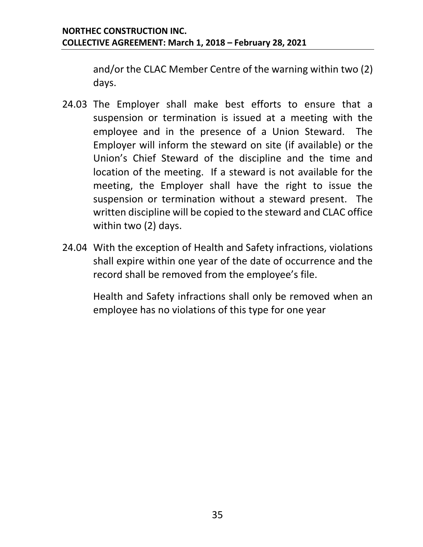and/or the CLAC Member Centre of the warning within two (2) days.

- 24.03 The Employer shall make best efforts to ensure that a suspension or termination is issued at a meeting with the employee and in the presence of a Union Steward. The Employer will inform the steward on site (if available) or the Union's Chief Steward of the discipline and the time and location of the meeting. If a steward is not available for the meeting, the Employer shall have the right to issue the suspension or termination without a steward present. The written discipline will be copied to the steward and CLAC office within two (2) days.
- 24.04 With the exception of Health and Safety infractions, violations shall expire within one year of the date of occurrence and the record shall be removed from the employee's file.

Health and Safety infractions shall only be removed when an employee has no violations of this type for one year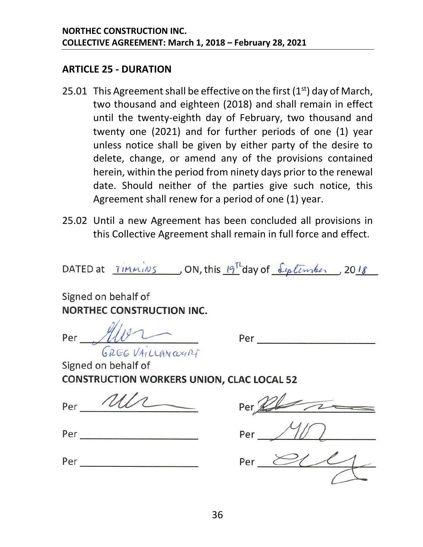#### <span id="page-38-0"></span>**ARTICLE 25 - DURATION**

- 25.01 This Agreement shall be effective on the first  $(1<sup>st</sup>)$  day of March, two thousand and eighteen (2018) and shall remain in effect until the twenty-eighth day of February, two thousand and twenty one (2021) and for further periods of one (1) year unless notice shall be given by either party of the desire to delete, change, or amend any of the provisions contained herein, within the period from ninety days prior to the renewal date. Should neither of the parties give such notice, this Agreement shall renew for a period of one (1) year.
- 25.02 Until a new Agreement has been concluded all provisions in this Collective Agreement shall remain in full force and effect.

DATED at  $\overline{I}$ immins ON, this  $\frac{19^{\text{T}}}{4}$ day of  $\frac{\text{Liplim}h_{\text{en}}}{\text{Liplim}h_{\text{en}}}$ , 2018

Signed on behalf of **NORTHEC CONSTRUCTION INC.** 

Per <u>Alver</u> *(; /iGG* t/4,' *LLrAN (V(.(ILf-*

Per ---------

Signed on behalf of **CONSTRUCTION WORKERS UNION, CLAC LOCAL 52** 

 $Per \underline{\hspace{1cm} 2U1} \underline{\hspace{1cm}} \underline{\hspace{1cm}} \underline{\hspace{1cm}} \underline{\hspace{1cm}} \underline{\hspace{1cm}} \underline{\hspace{1cm}} \underline{\hspace{1cm}} \underline{\hspace{1cm}} \underline{\hspace{1cm}} \underline{\hspace{1cm}} \underline{\hspace{1cm}} \underline{\hspace{1cm}} \underline{\hspace{1cm}} \underline{\hspace{1cm}} \underline{\hspace{1cm}} \underline{\hspace{1cm}} \underline{\hspace{1cm}} \underline{\hspace{1cm}} \underline{\hspace{1cm}} \underline{\hspace{1cm}} \underline{\hspace{1cm}} \underline{\hspace{1cm}} \underline{\hspace{1$ 

| Per |  |
|-----|--|
|     |  |

| Per |  |  |  |  |  |
|-----|--|--|--|--|--|
|     |  |  |  |  |  |

| Per |  |  |  |
|-----|--|--|--|
|     |  |  |  |

Per <u>(2002)</u>

Per --------- Per *81'%*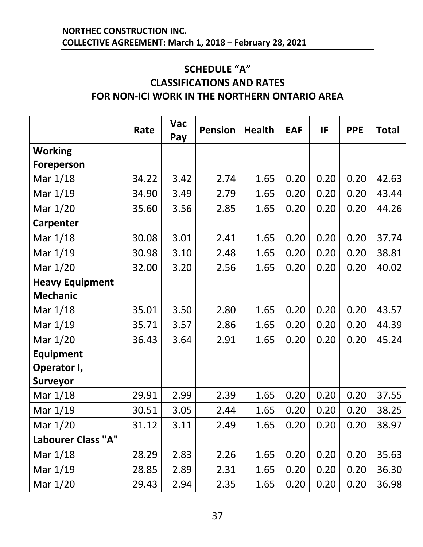#### <span id="page-39-1"></span><span id="page-39-0"></span>**SCHEDULE "A" CLASSIFICATIONS AND RATES FOR NON-ICI WORK IN THE NORTHERN ONTARIO AREA**

|                           | Rate  | <b>Vac</b><br>Pay | <b>Pension</b> | <b>Health</b> | <b>EAF</b> | IF   | <b>PPE</b> | <b>Total</b> |
|---------------------------|-------|-------------------|----------------|---------------|------------|------|------------|--------------|
| <b>Working</b>            |       |                   |                |               |            |      |            |              |
| Foreperson                |       |                   |                |               |            |      |            |              |
| Mar 1/18                  | 34.22 | 3.42              | 2.74           | 1.65          | 0.20       | 0.20 | 0.20       | 42.63        |
| Mar 1/19                  | 34.90 | 3.49              | 2.79           | 1.65          | 0.20       | 0.20 | 0.20       | 43.44        |
| Mar 1/20                  | 35.60 | 3.56              | 2.85           | 1.65          | 0.20       | 0.20 | 0.20       | 44.26        |
| <b>Carpenter</b>          |       |                   |                |               |            |      |            |              |
| Mar 1/18                  | 30.08 | 3.01              | 2.41           | 1.65          | 0.20       | 0.20 | 0.20       | 37.74        |
| Mar 1/19                  | 30.98 | 3.10              | 2.48           | 1.65          | 0.20       | 0.20 | 0.20       | 38.81        |
| Mar 1/20                  | 32.00 | 3.20              | 2.56           | 1.65          | 0.20       | 0.20 | 0.20       | 40.02        |
| <b>Heavy Equipment</b>    |       |                   |                |               |            |      |            |              |
| <b>Mechanic</b>           |       |                   |                |               |            |      |            |              |
| Mar 1/18                  | 35.01 | 3.50              | 2.80           | 1.65          | 0.20       | 0.20 | 0.20       | 43.57        |
| Mar 1/19                  | 35.71 | 3.57              | 2.86           | 1.65          | 0.20       | 0.20 | 0.20       | 44.39        |
| Mar 1/20                  | 36.43 | 3.64              | 2.91           | 1.65          | 0.20       | 0.20 | 0.20       | 45.24        |
| <b>Equipment</b>          |       |                   |                |               |            |      |            |              |
| Operator I,               |       |                   |                |               |            |      |            |              |
| <b>Surveyor</b>           |       |                   |                |               |            |      |            |              |
| Mar 1/18                  | 29.91 | 2.99              | 2.39           | 1.65          | 0.20       | 0.20 | 0.20       | 37.55        |
| Mar 1/19                  | 30.51 | 3.05              | 2.44           | 1.65          | 0.20       | 0.20 | 0.20       | 38.25        |
| Mar 1/20                  | 31.12 | 3.11              | 2.49           | 1.65          | 0.20       | 0.20 | 0.20       | 38.97        |
| <b>Labourer Class "A"</b> |       |                   |                |               |            |      |            |              |
| Mar 1/18                  | 28.29 | 2.83              | 2.26           | 1.65          | 0.20       | 0.20 | 0.20       | 35.63        |
| Mar 1/19                  | 28.85 | 2.89              | 2.31           | 1.65          | 0.20       | 0.20 | 0.20       | 36.30        |
| Mar 1/20                  | 29.43 | 2.94              | 2.35           | 1.65          | 0.20       | 0.20 | 0.20       | 36.98        |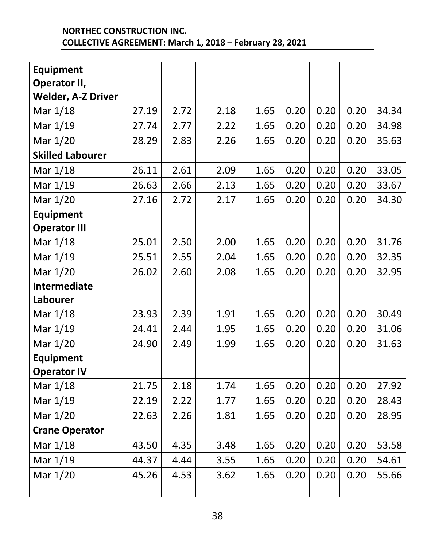| <b>Equipment</b>          |       |      |      |      |      |      |      |       |
|---------------------------|-------|------|------|------|------|------|------|-------|
| Operator II,              |       |      |      |      |      |      |      |       |
| <b>Welder, A-Z Driver</b> |       |      |      |      |      |      |      |       |
| Mar 1/18                  | 27.19 | 2.72 | 2.18 | 1.65 | 0.20 | 0.20 | 0.20 | 34.34 |
| Mar 1/19                  | 27.74 | 2.77 | 2.22 | 1.65 | 0.20 | 0.20 | 0.20 | 34.98 |
| Mar 1/20                  | 28.29 | 2.83 | 2.26 | 1.65 | 0.20 | 0.20 | 0.20 | 35.63 |
| <b>Skilled Labourer</b>   |       |      |      |      |      |      |      |       |
| Mar 1/18                  | 26.11 | 2.61 | 2.09 | 1.65 | 0.20 | 0.20 | 0.20 | 33.05 |
| Mar 1/19                  | 26.63 | 2.66 | 2.13 | 1.65 | 0.20 | 0.20 | 0.20 | 33.67 |
| Mar 1/20                  | 27.16 | 2.72 | 2.17 | 1.65 | 0.20 | 0.20 | 0.20 | 34.30 |
| <b>Equipment</b>          |       |      |      |      |      |      |      |       |
| <b>Operator III</b>       |       |      |      |      |      |      |      |       |
| Mar 1/18                  | 25.01 | 2.50 | 2.00 | 1.65 | 0.20 | 0.20 | 0.20 | 31.76 |
| Mar 1/19                  | 25.51 | 2.55 | 2.04 | 1.65 | 0.20 | 0.20 | 0.20 | 32.35 |
| Mar 1/20                  | 26.02 | 2.60 | 2.08 | 1.65 | 0.20 | 0.20 | 0.20 | 32.95 |
| <b>Intermediate</b>       |       |      |      |      |      |      |      |       |
|                           |       |      |      |      |      |      |      |       |
| Labourer                  |       |      |      |      |      |      |      |       |
| Mar 1/18                  | 23.93 | 2.39 | 1.91 | 1.65 | 0.20 | 0.20 | 0.20 | 30.49 |
| Mar 1/19                  | 24.41 | 2.44 | 1.95 | 1.65 | 0.20 | 0.20 | 0.20 | 31.06 |
| Mar 1/20                  | 24.90 | 2.49 | 1.99 | 1.65 | 0.20 | 0.20 | 0.20 | 31.63 |
| <b>Equipment</b>          |       |      |      |      |      |      |      |       |
| <b>Operator IV</b>        |       |      |      |      |      |      |      |       |
| Mar 1/18                  | 21.75 | 2.18 | 1.74 | 1.65 | 0.20 | 0.20 | 0.20 | 27.92 |
| Mar 1/19                  | 22.19 | 2.22 | 1.77 | 1.65 | 0.20 | 0.20 | 0.20 | 28.43 |
| Mar 1/20                  | 22.63 | 2.26 | 1.81 | 1.65 | 0.20 | 0.20 | 0.20 | 28.95 |
| <b>Crane Operator</b>     |       |      |      |      |      |      |      |       |
| Mar 1/18                  | 43.50 | 4.35 | 3.48 | 1.65 | 0.20 | 0.20 | 0.20 | 53.58 |
| Mar 1/19                  | 44.37 | 4.44 | 3.55 | 1.65 | 0.20 | 0.20 | 0.20 | 54.61 |
| Mar 1/20                  | 45.26 | 4.53 | 3.62 | 1.65 | 0.20 | 0.20 | 0.20 | 55.66 |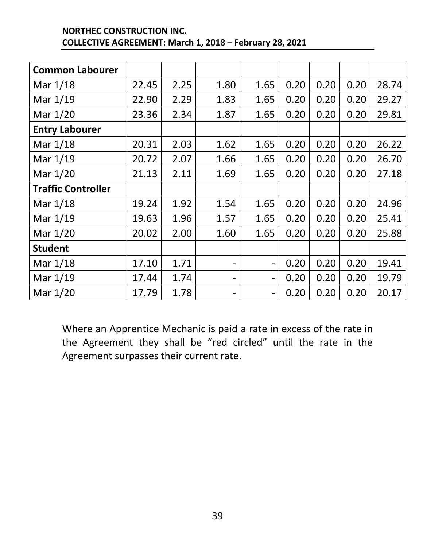| <b>NORTHEC CONSTRUCTION INC.</b>                        |
|---------------------------------------------------------|
| COLLECTIVE AGREEMENT: March 1, 2018 - February 28, 2021 |

| <b>Common Labourer</b>    |       |      |                          |                              |      |      |      |       |
|---------------------------|-------|------|--------------------------|------------------------------|------|------|------|-------|
| Mar 1/18                  | 22.45 | 2.25 | 1.80                     | 1.65                         | 0.20 | 0.20 | 0.20 | 28.74 |
| Mar 1/19                  | 22.90 | 2.29 | 1.83                     | 1.65                         | 0.20 | 0.20 | 0.20 | 29.27 |
| Mar 1/20                  | 23.36 | 2.34 | 1.87                     | 1.65                         | 0.20 | 0.20 | 0.20 | 29.81 |
| <b>Entry Labourer</b>     |       |      |                          |                              |      |      |      |       |
| Mar 1/18                  | 20.31 | 2.03 | 1.62                     | 1.65                         | 0.20 | 0.20 | 0.20 | 26.22 |
| Mar 1/19                  | 20.72 | 2.07 | 1.66                     | 1.65                         | 0.20 | 0.20 | 0.20 | 26.70 |
| Mar 1/20                  | 21.13 | 2.11 | 1.69                     | 1.65                         | 0.20 | 0.20 | 0.20 | 27.18 |
| <b>Traffic Controller</b> |       |      |                          |                              |      |      |      |       |
| Mar 1/18                  | 19.24 | 1.92 | 1.54                     | 1.65                         | 0.20 | 0.20 | 0.20 | 24.96 |
| Mar 1/19                  | 19.63 | 1.96 | 1.57                     | 1.65                         | 0.20 | 0.20 | 0.20 | 25.41 |
| Mar 1/20                  | 20.02 | 2.00 | 1.60                     | 1.65                         | 0.20 | 0.20 | 0.20 | 25.88 |
| <b>Student</b>            |       |      |                          |                              |      |      |      |       |
| Mar 1/18                  | 17.10 | 1.71 | $\overline{\phantom{a}}$ | $\overline{\phantom{0}}$     | 0.20 | 0.20 | 0.20 | 19.41 |
| Mar 1/19                  | 17.44 | 1.74 | -                        | $\qquad \qquad \blacksquare$ | 0.20 | 0.20 | 0.20 | 19.79 |
| Mar 1/20                  | 17.79 | 1.78 |                          | $\overline{\phantom{0}}$     | 0.20 | 0.20 | 0.20 | 20.17 |

Where an Apprentice Mechanic is paid a rate in excess of the rate in the Agreement they shall be "red circled" until the rate in the Agreement surpasses their current rate.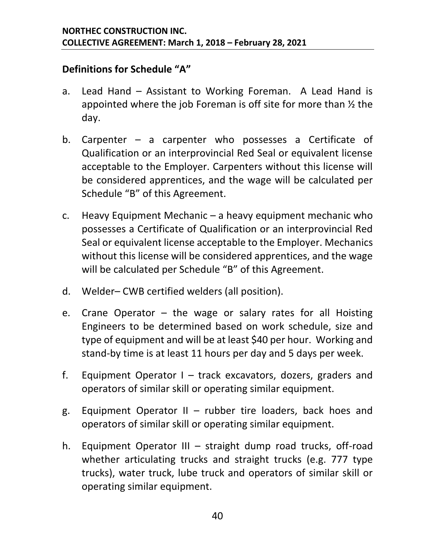#### **Definitions for Schedule "A"**

- a. Lead Hand Assistant to Working Foreman. A Lead Hand is appointed where the job Foreman is off site for more than ½ the day.
- b. Carpenter a carpenter who possesses a Certificate of Qualification or an interprovincial Red Seal or equivalent license acceptable to the Employer. Carpenters without this license will be considered apprentices, and the wage will be calculated per Schedule "B" of this Agreement.
- c. Heavy Equipment Mechanic a heavy equipment mechanic who possesses a Certificate of Qualification or an interprovincial Red Seal or equivalent license acceptable to the Employer. Mechanics without this license will be considered apprentices, and the wage will be calculated per Schedule "B" of this Agreement.
- d. Welder– CWB certified welders (all position).
- e. Crane Operator the wage or salary rates for all Hoisting Engineers to be determined based on work schedule, size and type of equipment and will be at least \$40 per hour. Working and stand-by time is at least 11 hours per day and 5 days per week.
- f. Equipment Operator I track excavators, dozers, graders and operators of similar skill or operating similar equipment.
- g. Equipment Operator II rubber tire loaders, back hoes and operators of similar skill or operating similar equipment.
- h. Equipment Operator III straight dump road trucks, off-road whether articulating trucks and straight trucks (e.g. 777 type trucks), water truck, lube truck and operators of similar skill or operating similar equipment.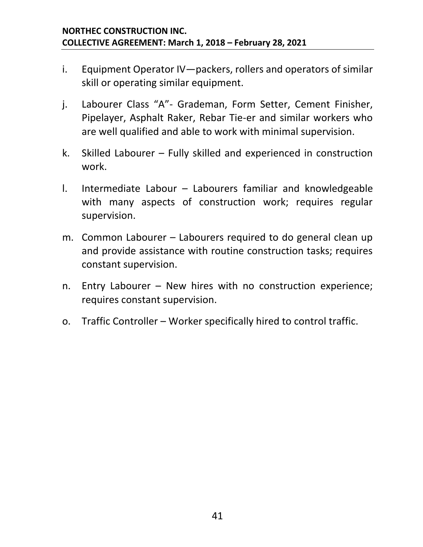- i. Equipment Operator IV—packers, rollers and operators of similar skill or operating similar equipment.
- j. Labourer Class "A"- Grademan, Form Setter, Cement Finisher, Pipelayer, Asphalt Raker, Rebar Tie-er and similar workers who are well qualified and able to work with minimal supervision.
- k. Skilled Labourer Fully skilled and experienced in construction work.
- l. Intermediate Labour Labourers familiar and knowledgeable with many aspects of construction work; requires regular supervision.
- m. Common Labourer Labourers required to do general clean up and provide assistance with routine construction tasks; requires constant supervision.
- n. Entry Labourer New hires with no construction experience; requires constant supervision.
- o. Traffic Controller Worker specifically hired to control traffic.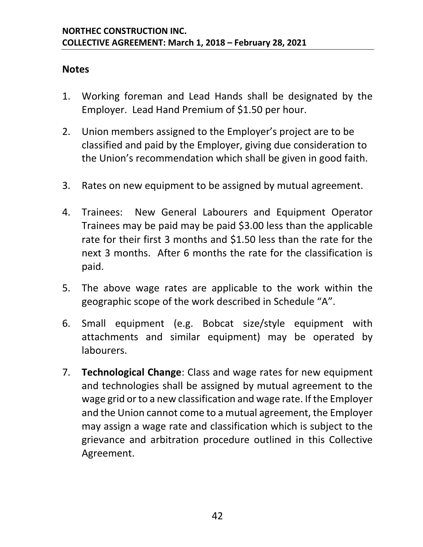#### **Notes**

- 1. Working foreman and Lead Hands shall be designated by the Employer. Lead Hand Premium of \$1.50 per hour.
- 2. Union members assigned to the Employer's project are to be classified and paid by the Employer, giving due consideration to the Union's recommendation which shall be given in good faith.
- 3. Rates on new equipment to be assigned by mutual agreement.
- 4. Trainees: New General Labourers and Equipment Operator Trainees may be paid may be paid \$3.00 less than the applicable rate for their first 3 months and \$1.50 less than the rate for the next 3 months. After 6 months the rate for the classification is paid.
- 5. The above wage rates are applicable to the work within the geographic scope of the work described in Schedule "A".
- 6. Small equipment (e.g. Bobcat size/style equipment with attachments and similar equipment) may be operated by labourers.
- 7. **Technological Change**: Class and wage rates for new equipment and technologies shall be assigned by mutual agreement to the wage grid or to a new classification and wage rate. If the Employer and the Union cannot come to a mutual agreement, the Employer may assign a wage rate and classification which is subject to the grievance and arbitration procedure outlined in this Collective Agreement.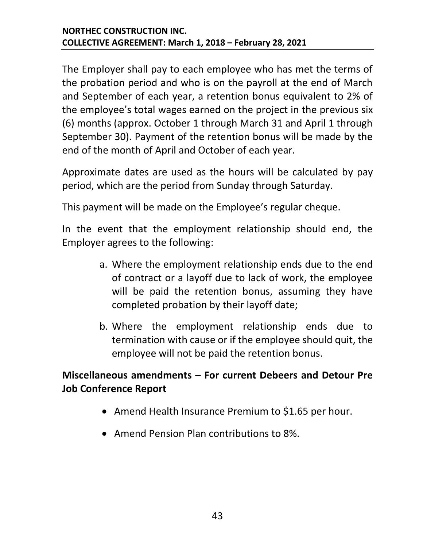The Employer shall pay to each employee who has met the terms of the probation period and who is on the payroll at the end of March and September of each year, a retention bonus equivalent to 2% of the employee's total wages earned on the project in the previous six (6) months (approx. October 1 through March 31 and April 1 through September 30). Payment of the retention bonus will be made by the end of the month of April and October of each year.

Approximate dates are used as the hours will be calculated by pay period, which are the period from Sunday through Saturday.

This payment will be made on the Employee's regular cheque.

In the event that the employment relationship should end, the Employer agrees to the following:

- a. Where the employment relationship ends due to the end of contract or a layoff due to lack of work, the employee will be paid the retention bonus, assuming they have completed probation by their layoff date;
- b. Where the employment relationship ends due to termination with cause or if the employee should quit, the employee will not be paid the retention bonus.

#### **Miscellaneous amendments – For current Debeers and Detour Pre Job Conference Report**

- Amend Health Insurance Premium to \$1.65 per hour.
- Amend Pension Plan contributions to 8%.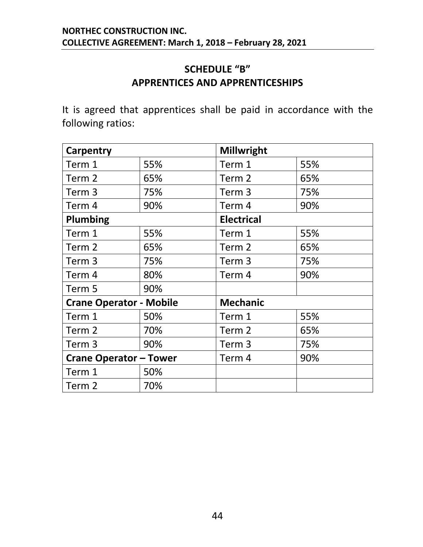#### **SCHEDULE "B" APPRENTICES AND APPRENTICESHIPS**

<span id="page-46-0"></span>It is agreed that apprentices shall be paid in accordance with the following ratios:

| Carpentry                      |     | <b>Millwright</b> |     |  |
|--------------------------------|-----|-------------------|-----|--|
| Term 1                         | 55% | Term 1            | 55% |  |
| Term 2                         | 65% | Term 2            | 65% |  |
| Term 3                         | 75% | Term <sub>3</sub> | 75% |  |
| Term 4                         | 90% | Term 4            | 90% |  |
| <b>Plumbing</b>                |     | <b>Electrical</b> |     |  |
| Term 1                         | 55% | Term 1            | 55% |  |
| Term <sub>2</sub>              | 65% | Term <sub>2</sub> | 65% |  |
| Term 3                         | 75% | Term <sub>3</sub> | 75% |  |
| Term 4                         | 80% | Term 4            | 90% |  |
| Term 5                         | 90% |                   |     |  |
| <b>Crane Operator - Mobile</b> |     | <b>Mechanic</b>   |     |  |
| Term 1                         | 50% | Term 1            | 55% |  |
| Term 2                         | 70% | Term 2            | 65% |  |
| Term <sub>3</sub>              | 90% | Term <sub>3</sub> | 75% |  |
| <b>Crane Operator - Tower</b>  |     | Term 4            | 90% |  |
| Term 1                         | 50% |                   |     |  |
| Term 2                         | 70% |                   |     |  |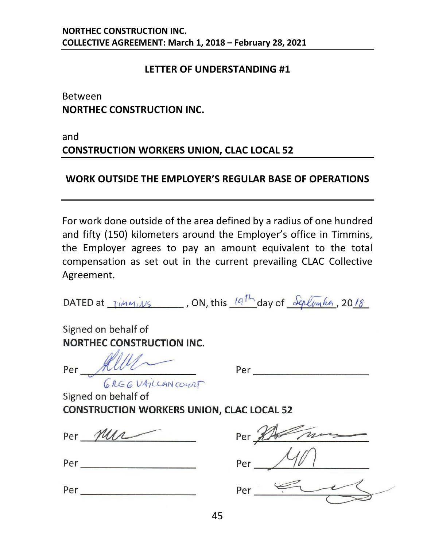#### **LETTER OF UNDERSTANDING #1**

<span id="page-47-0"></span>Between **NORTHEC CONSTRUCTION INC.**

and

#### **CONSTRUCTION WORKERS UNION, CLAC LOCAL 52**

#### **WORK OUTSIDE THE EMPLOYER'S REGULAR BASE OF OPERATIONS**

For work done outside of the area defined by a radius of one hundred and fifty (150) kilometers around the Employer's office in Timmins, the Employer agrees to pay an amount equivalent to the total compensation as set out in the current prevailing CLAC Collective Agreement.

DATED at  $\frac{1}{10}$   $\frac{1}{10}$ , ON, this  $\frac{1}{10}$  day of  $\frac{5}{10}$   $\frac{1}{10}$ , 2018

Signed on behalf of **NORTHEC CONSTRUCTION INC.** 

Per *fl/Z?----* **<sup>v</sup>** Per --------- <sup>b</sup>*fLG* G *V4-?LU-\N* CD•r/1,r

Signed on behalf of **CONSTRUCTION WORKERS UNION, CLAC LOCAL 52** 

Per *MUL* Per

| D<br>г |  |  |  |
|--------|--|--|--|
|        |  |  |  |

*I*  Per  $\frac{1}{\sqrt{11}}$  $\frac{152}{40}$ 

Per --------- Per